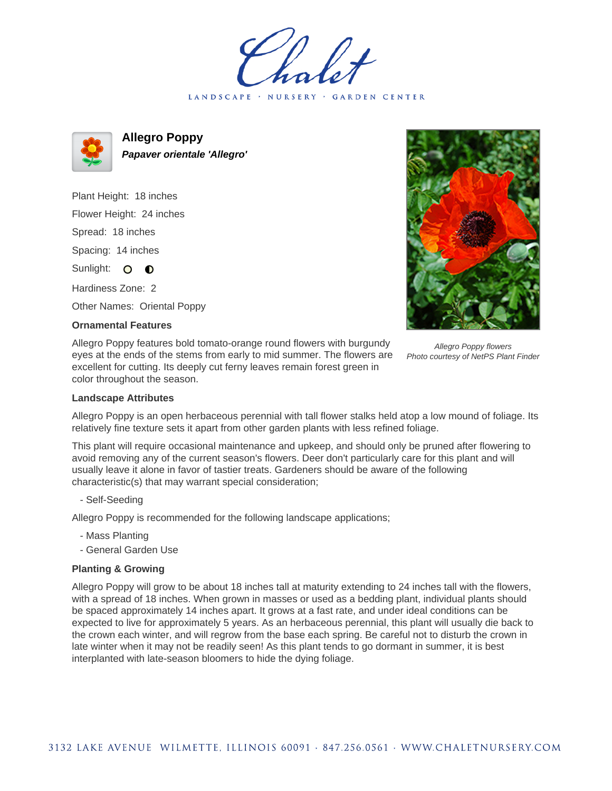LANDSCAPE · NURSERY · GARDEN CENTER



**Allegro Poppy Papaver orientale 'Allegro'**

Plant Height: 18 inches Flower Height: 24 inches Spread: 18 inches Spacing: 14 inches Sunlight: O **O** Hardiness Zone: 2

Other Names: Oriental Poppy

## **Ornamental Features**

Allegro Poppy features bold tomato-orange round flowers with burgundy eyes at the ends of the stems from early to mid summer. The flowers are excellent for cutting. Its deeply cut ferny leaves remain forest green in color throughout the season.



Allegro Poppy flowers Photo courtesy of NetPS Plant Finder

## **Landscape Attributes**

Allegro Poppy is an open herbaceous perennial with tall flower stalks held atop a low mound of foliage. Its relatively fine texture sets it apart from other garden plants with less refined foliage.

This plant will require occasional maintenance and upkeep, and should only be pruned after flowering to avoid removing any of the current season's flowers. Deer don't particularly care for this plant and will usually leave it alone in favor of tastier treats. Gardeners should be aware of the following characteristic(s) that may warrant special consideration;

- Self-Seeding

Allegro Poppy is recommended for the following landscape applications;

- Mass Planting
- General Garden Use

## **Planting & Growing**

Allegro Poppy will grow to be about 18 inches tall at maturity extending to 24 inches tall with the flowers, with a spread of 18 inches. When grown in masses or used as a bedding plant, individual plants should be spaced approximately 14 inches apart. It grows at a fast rate, and under ideal conditions can be expected to live for approximately 5 years. As an herbaceous perennial, this plant will usually die back to the crown each winter, and will regrow from the base each spring. Be careful not to disturb the crown in late winter when it may not be readily seen! As this plant tends to go dormant in summer, it is best interplanted with late-season bloomers to hide the dying foliage.